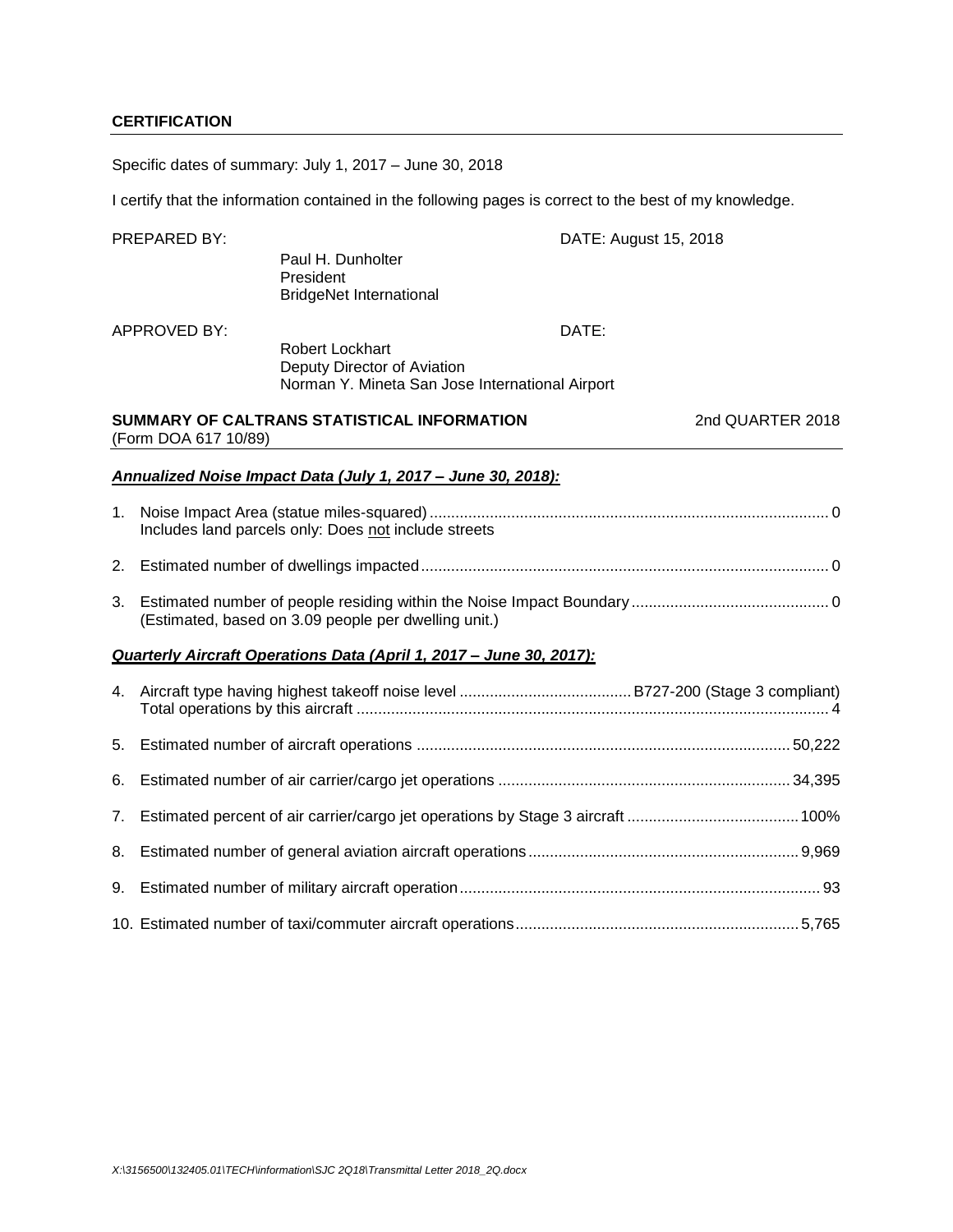Specific dates of summary: July 1, 2017 – June 30, 2018

I certify that the information contained in the following pages is correct to the best of my knowledge.

|    | PREPARED BY:         |                                                                                                          |       | DATE: August 15, 2018 |
|----|----------------------|----------------------------------------------------------------------------------------------------------|-------|-----------------------|
|    |                      | Paul H. Dunholter<br>President<br><b>BridgeNet International</b>                                         |       |                       |
|    | <b>APPROVED BY:</b>  |                                                                                                          | DATE: |                       |
|    |                      | <b>Robert Lockhart</b><br>Deputy Director of Aviation<br>Norman Y. Mineta San Jose International Airport |       |                       |
|    | (Form DOA 617 10/89) | SUMMARY OF CALTRANS STATISTICAL INFORMATION                                                              |       | 2nd QUARTER 2018      |
|    |                      | Annualized Noise Impact Data (July 1, 2017 - June 30, 2018):                                             |       |                       |
| 1. |                      | Includes land parcels only: Does not include streets                                                     |       |                       |
| 2. |                      |                                                                                                          |       |                       |
| 3. |                      | (Estimated, based on 3.09 people per dwelling unit.)                                                     |       |                       |
|    |                      | Quarterly Aircraft Operations Data (April 1, 2017 - June 30, 2017):                                      |       |                       |
| 4. |                      |                                                                                                          |       |                       |
| 5. |                      |                                                                                                          |       |                       |
| 6. |                      |                                                                                                          |       |                       |
| 7. |                      |                                                                                                          |       |                       |
| 8. |                      |                                                                                                          |       |                       |
| 9. |                      |                                                                                                          |       |                       |
|    |                      |                                                                                                          |       |                       |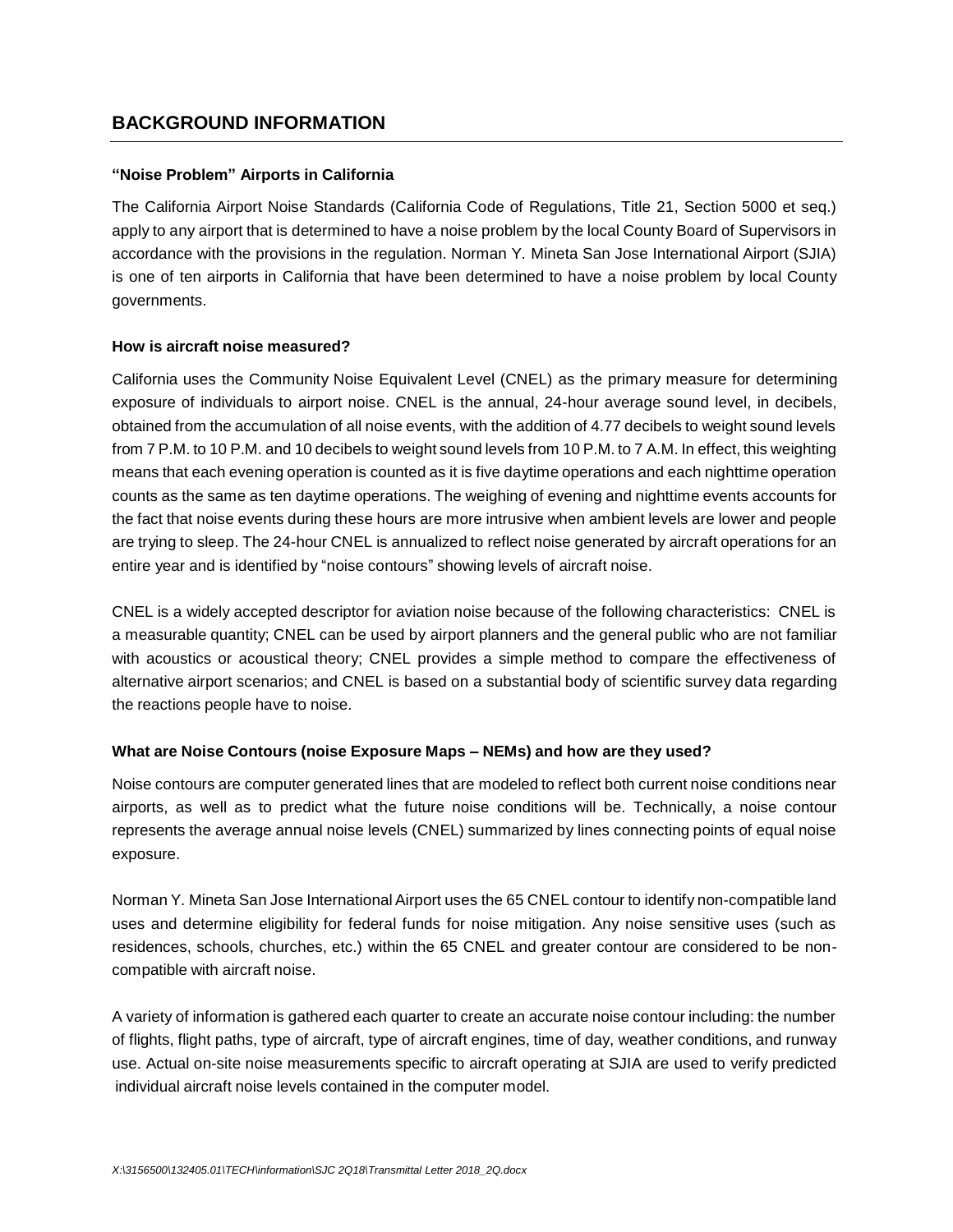## **BACKGROUND INFORMATION**

### **"Noise Problem" Airports in California**

The California Airport Noise Standards (California Code of Regulations, Title 21, Section 5000 et seq.) apply to any airport that is determined to have a noise problem by the local County Board of Supervisors in accordance with the provisions in the regulation. Norman Y. Mineta San Jose International Airport (SJIA) is one of ten airports in California that have been determined to have a noise problem by local County governments.

### **How is aircraft noise measured?**

California uses the Community Noise Equivalent Level (CNEL) as the primary measure for determining exposure of individuals to airport noise. CNEL is the annual, 24-hour average sound level, in decibels, obtained from the accumulation of all noise events, with the addition of 4.77 decibels to weight sound levels from 7 P.M. to 10 P.M. and 10 decibels to weight sound levels from 10 P.M. to 7 A.M. In effect, this weighting means that each evening operation is counted as it is five daytime operations and each nighttime operation counts as the same as ten daytime operations. The weighing of evening and nighttime events accounts for the fact that noise events during these hours are more intrusive when ambient levels are lower and people are trying to sleep. The 24-hour CNEL is annualized to reflect noise generated by aircraft operations for an entire year and is identified by "noise contours" showing levels of aircraft noise.

CNEL is a widely accepted descriptor for aviation noise because of the following characteristics: CNEL is a measurable quantity; CNEL can be used by airport planners and the general public who are not familiar with acoustics or acoustical theory; CNEL provides a simple method to compare the effectiveness of alternative airport scenarios; and CNEL is based on a substantial body of scientific survey data regarding the reactions people have to noise.

### **What are Noise Contours (noise Exposure Maps – NEMs) and how are they used?**

Noise contours are computer generated lines that are modeled to reflect both current noise conditions near airports, as well as to predict what the future noise conditions will be. Technically, a noise contour represents the average annual noise levels (CNEL) summarized by lines connecting points of equal noise exposure.

Norman Y. Mineta San Jose International Airport uses the 65 CNEL contour to identify non-compatible land uses and determine eligibility for federal funds for noise mitigation. Any noise sensitive uses (such as residences, schools, churches, etc.) within the 65 CNEL and greater contour are considered to be noncompatible with aircraft noise.

A variety of information is gathered each quarter to create an accurate noise contour including: the number of flights, flight paths, type of aircraft, type of aircraft engines, time of day, weather conditions, and runway use. Actual on-site noise measurements specific to aircraft operating at SJIA are used to verify predicted individual aircraft noise levels contained in the computer model.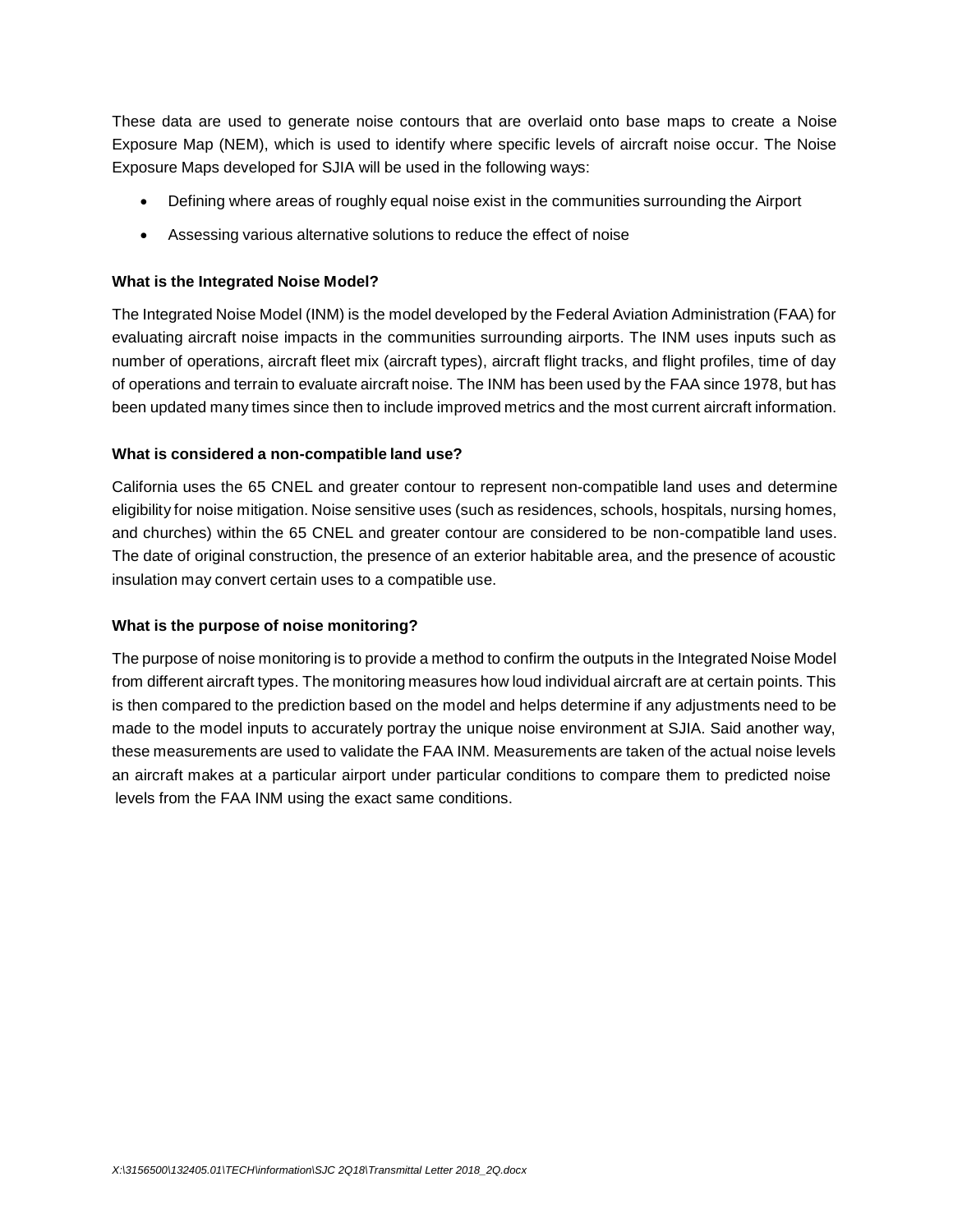These data are used to generate noise contours that are overlaid onto base maps to create a Noise Exposure Map (NEM), which is used to identify where specific levels of aircraft noise occur. The Noise Exposure Maps developed for SJIA will be used in the following ways:

- Defining where areas of roughly equal noise exist in the communities surrounding the Airport
- Assessing various alternative solutions to reduce the effect of noise

### **What is the Integrated Noise Model?**

The Integrated Noise Model (INM) is the model developed by the Federal Aviation Administration (FAA) for evaluating aircraft noise impacts in the communities surrounding airports. The INM uses inputs such as number of operations, aircraft fleet mix (aircraft types), aircraft flight tracks, and flight profiles, time of day of operations and terrain to evaluate aircraft noise. The INM has been used by the FAA since 1978, but has been updated many times since then to include improved metrics and the most current aircraft information.

### **What is considered a non-compatible land use?**

California uses the 65 CNEL and greater contour to represent non-compatible land uses and determine eligibility for noise mitigation. Noise sensitive uses (such as residences, schools, hospitals, nursing homes, and churches) within the 65 CNEL and greater contour are considered to be non-compatible land uses. The date of original construction, the presence of an exterior habitable area, and the presence of acoustic insulation may convert certain uses to a compatible use.

### **What is the purpose of noise monitoring?**

The purpose of noise monitoring is to provide a method to confirm the outputs in the Integrated Noise Model from different aircraft types. The monitoring measures how loud individual aircraft are at certain points. This is then compared to the prediction based on the model and helps determine if any adjustments need to be made to the model inputs to accurately portray the unique noise environment at SJIA. Said another way, these measurements are used to validate the FAA INM. Measurements are taken of the actual noise levels an aircraft makes at a particular airport under particular conditions to compare them to predicted noise levels from the FAA INM using the exact same conditions.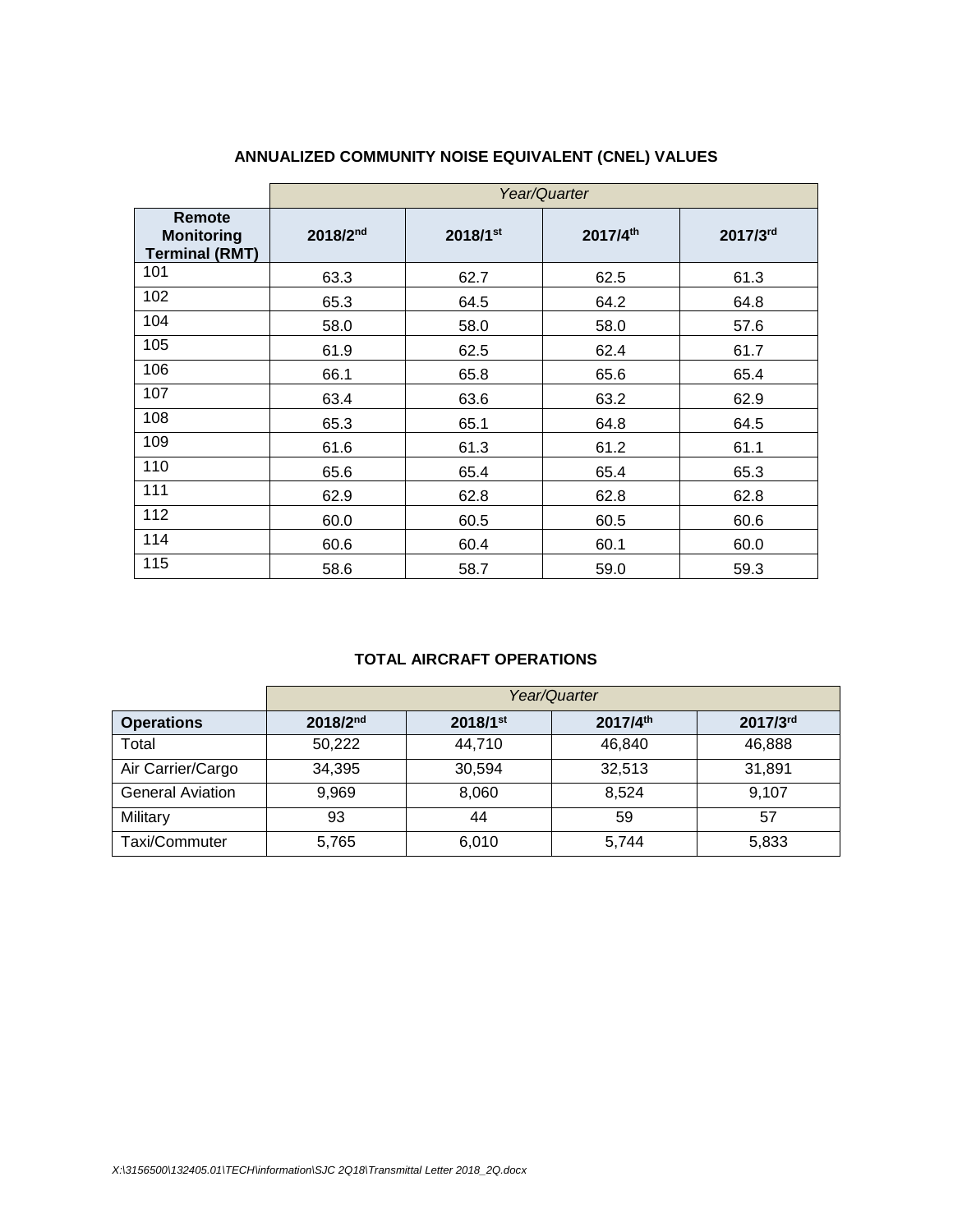|                                                      |          | Year/Quarter |          |          |  |  |  |  |  |  |  |  |
|------------------------------------------------------|----------|--------------|----------|----------|--|--|--|--|--|--|--|--|
| Remote<br><b>Monitoring</b><br><b>Terminal (RMT)</b> | 2018/2nd | 2018/1st     | 2017/4th | 2017/3rd |  |  |  |  |  |  |  |  |
| 101                                                  | 63.3     | 62.7         | 62.5     | 61.3     |  |  |  |  |  |  |  |  |
| 102                                                  | 65.3     | 64.5         | 64.2     | 64.8     |  |  |  |  |  |  |  |  |
| 104                                                  | 58.0     | 58.0         | 58.0     | 57.6     |  |  |  |  |  |  |  |  |
| 105                                                  | 61.9     | 62.5         | 62.4     | 61.7     |  |  |  |  |  |  |  |  |
| 106                                                  | 66.1     | 65.8         | 65.6     | 65.4     |  |  |  |  |  |  |  |  |
| 107                                                  | 63.4     | 63.6         | 63.2     | 62.9     |  |  |  |  |  |  |  |  |
| 108                                                  | 65.3     | 65.1         | 64.8     | 64.5     |  |  |  |  |  |  |  |  |
| 109                                                  | 61.6     | 61.3         | 61.2     | 61.1     |  |  |  |  |  |  |  |  |
| 110                                                  | 65.6     | 65.4         | 65.4     | 65.3     |  |  |  |  |  |  |  |  |
| 111                                                  | 62.9     | 62.8         | 62.8     | 62.8     |  |  |  |  |  |  |  |  |
| 112                                                  | 60.0     | 60.5         | 60.5     | 60.6     |  |  |  |  |  |  |  |  |
| 114                                                  | 60.6     | 60.4         | 60.1     | 60.0     |  |  |  |  |  |  |  |  |
| 115                                                  | 58.6     | 58.7         | 59.0     | 59.3     |  |  |  |  |  |  |  |  |

# **ANNUALIZED COMMUNITY NOISE EQUIVALENT (CNEL) VALUES**

## **TOTAL AIRCRAFT OPERATIONS**

|                         | Year/Quarter  |          |          |          |  |  |  |  |  |  |  |  |
|-------------------------|---------------|----------|----------|----------|--|--|--|--|--|--|--|--|
| <b>Operations</b>       | $2018/2^{nd}$ | 2018/1st | 2017/4th | 2017/3rd |  |  |  |  |  |  |  |  |
| Total                   | 50,222        | 44,710   | 46,840   | 46,888   |  |  |  |  |  |  |  |  |
| Air Carrier/Cargo       | 34,395        | 30,594   | 32,513   | 31,891   |  |  |  |  |  |  |  |  |
| <b>General Aviation</b> | 9,969         | 8,060    | 8,524    | 9.107    |  |  |  |  |  |  |  |  |
| Military                | 93            | 44       | 59       | 57       |  |  |  |  |  |  |  |  |
| Taxi/Commuter           | 5,765         | 6,010    | 5,744    | 5,833    |  |  |  |  |  |  |  |  |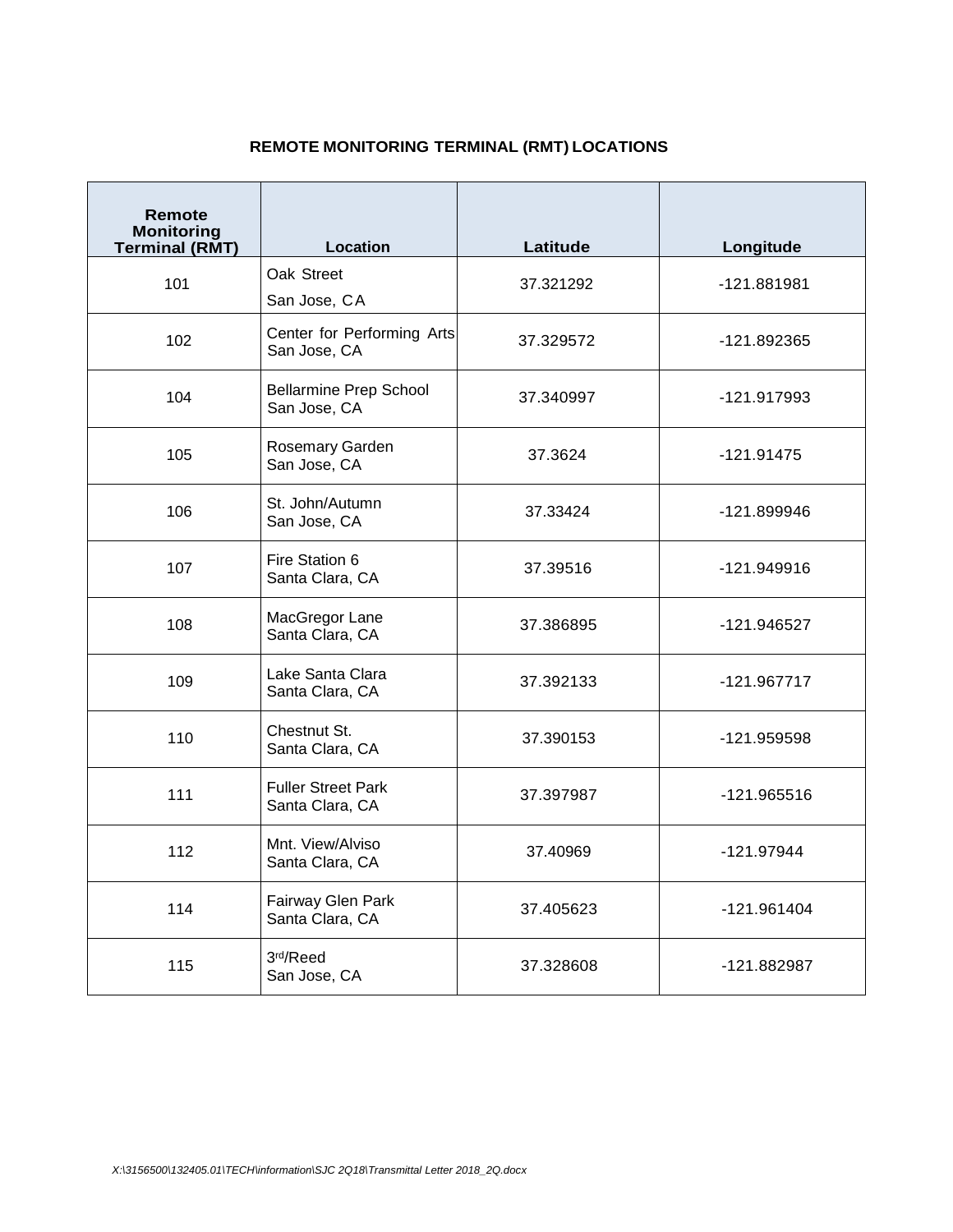# **REMOTE MONITORING TERMINAL (RMT) LOCATIONS**

| Remote<br><b>Monitoring</b><br><b>Terminal (RMT)</b> | <b>Location</b>                               | Latitude  | Longitude     |  |  |
|------------------------------------------------------|-----------------------------------------------|-----------|---------------|--|--|
| 101                                                  | Oak Street<br>San Jose, CA                    | 37.321292 | -121.881981   |  |  |
| 102                                                  | Center for Performing Arts<br>San Jose, CA    | 37.329572 | -121.892365   |  |  |
| 104                                                  | <b>Bellarmine Prep School</b><br>San Jose, CA | 37.340997 | -121.917993   |  |  |
| 105                                                  | Rosemary Garden<br>San Jose, CA               | 37.3624   | $-121.91475$  |  |  |
| 106                                                  | St. John/Autumn<br>San Jose, CA               | 37.33424  | -121.899946   |  |  |
| 107                                                  | Fire Station 6<br>Santa Clara, CA             | 37.39516  | -121.949916   |  |  |
| 108                                                  | MacGregor Lane<br>Santa Clara, CA             | 37.386895 | -121.946527   |  |  |
| 109                                                  | Lake Santa Clara<br>Santa Clara, CA           | 37.392133 | $-121.967717$ |  |  |
| 110                                                  | Chestnut St.<br>Santa Clara, CA               | 37.390153 | -121.959598   |  |  |
| 111                                                  | <b>Fuller Street Park</b><br>Santa Clara, CA  | 37.397987 | -121.965516   |  |  |
| 112                                                  | Mnt. View/Alviso<br>Santa Clara, CA           | 37.40969  | -121.97944    |  |  |
| 114                                                  | Fairway Glen Park<br>Santa Clara, CA          | 37.405623 | -121.961404   |  |  |
| 115                                                  | 3rd/Reed<br>San Jose, CA                      | 37.328608 | -121.882987   |  |  |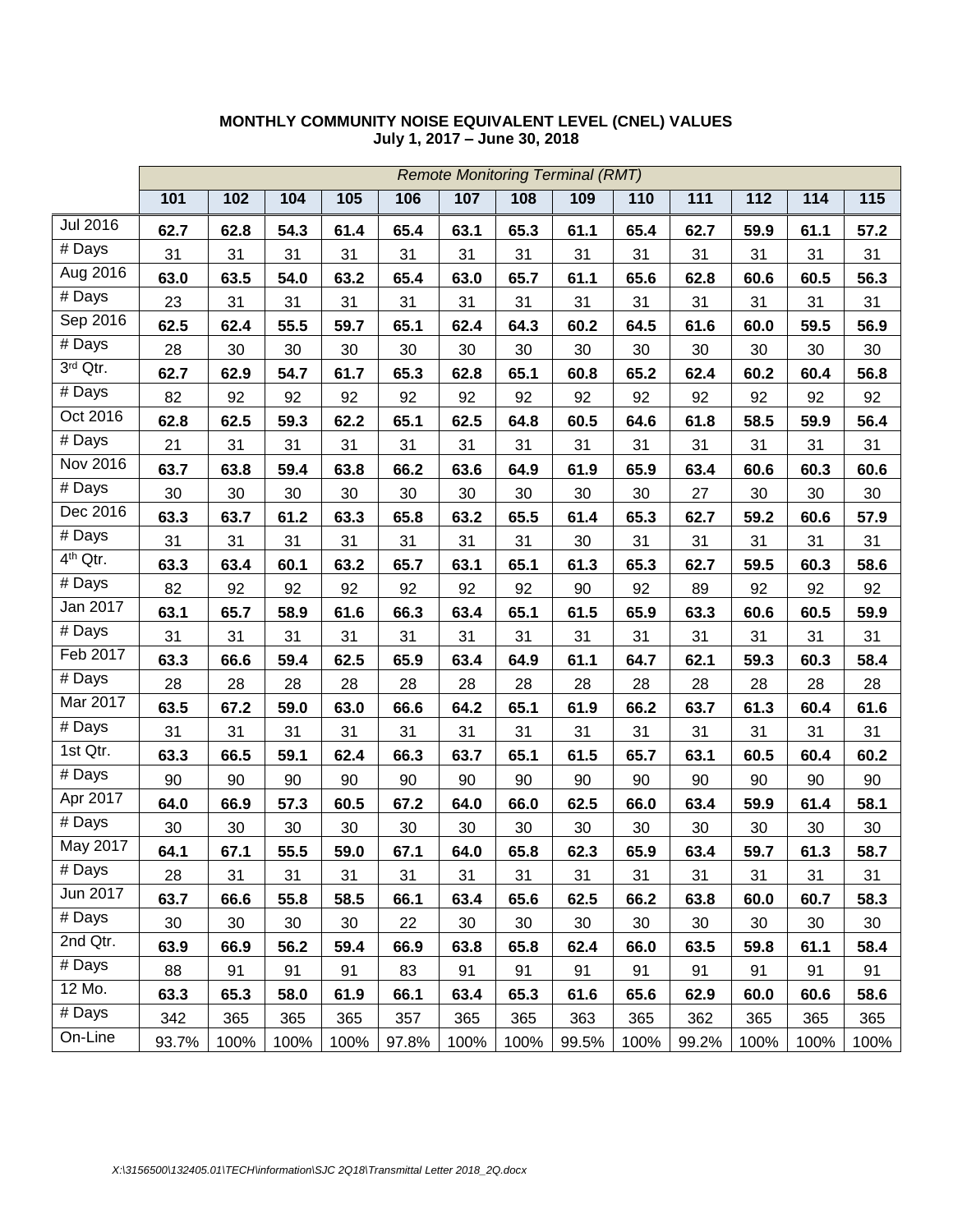|                      |       |      |      |      |       |      |      | <b>Remote Monitoring Terminal (RMT)</b> |      |       |      |      |      |
|----------------------|-------|------|------|------|-------|------|------|-----------------------------------------|------|-------|------|------|------|
|                      | 101   | 102  | 104  | 105  | 106   | 107  | 108  | 109                                     | 110  | 111   | 112  | 114  | 115  |
| <b>Jul 2016</b>      | 62.7  | 62.8 | 54.3 | 61.4 | 65.4  | 63.1 | 65.3 | 61.1                                    | 65.4 | 62.7  | 59.9 | 61.1 | 57.2 |
| # Days               | 31    | 31   | 31   | 31   | 31    | 31   | 31   | 31                                      | 31   | 31    | 31   | 31   | 31   |
| Aug 2016             | 63.0  | 63.5 | 54.0 | 63.2 | 65.4  | 63.0 | 65.7 | 61.1                                    | 65.6 | 62.8  | 60.6 | 60.5 | 56.3 |
| $#$ Days             | 23    | 31   | 31   | 31   | 31    | 31   | 31   | 31                                      | 31   | 31    | 31   | 31   | 31   |
| Sep 2016             | 62.5  | 62.4 | 55.5 | 59.7 | 65.1  | 62.4 | 64.3 | 60.2                                    | 64.5 | 61.6  | 60.0 | 59.5 | 56.9 |
| $#$ Days             | 28    | 30   | 30   | 30   | 30    | 30   | 30   | 30                                      | 30   | 30    | 30   | 30   | 30   |
| 3rd Qtr.             | 62.7  | 62.9 | 54.7 | 61.7 | 65.3  | 62.8 | 65.1 | 60.8                                    | 65.2 | 62.4  | 60.2 | 60.4 | 56.8 |
| $\overline{\#}$ Days | 82    | 92   | 92   | 92   | 92    | 92   | 92   | 92                                      | 92   | 92    | 92   | 92   | 92   |
| Oct 2016             | 62.8  | 62.5 | 59.3 | 62.2 | 65.1  | 62.5 | 64.8 | 60.5                                    | 64.6 | 61.8  | 58.5 | 59.9 | 56.4 |
| $\overline{\#}$ Days | 21    | 31   | 31   | 31   | 31    | 31   | 31   | 31                                      | 31   | 31    | 31   | 31   | 31   |
| Nov 2016             | 63.7  | 63.8 | 59.4 | 63.8 | 66.2  | 63.6 | 64.9 | 61.9                                    | 65.9 | 63.4  | 60.6 | 60.3 | 60.6 |
| # Days               | 30    | 30   | 30   | 30   | 30    | 30   | 30   | 30                                      | 30   | 27    | 30   | 30   | 30   |
| Dec 2016             | 63.3  | 63.7 | 61.2 | 63.3 | 65.8  | 63.2 | 65.5 | 61.4                                    | 65.3 | 62.7  | 59.2 | 60.6 | 57.9 |
| # Days               | 31    | 31   | 31   | 31   | 31    | 31   | 31   | 30                                      | 31   | 31    | 31   | 31   | 31   |
| 4 <sup>th</sup> Qtr. | 63.3  | 63.4 | 60.1 | 63.2 | 65.7  | 63.1 | 65.1 | 61.3                                    | 65.3 | 62.7  | 59.5 | 60.3 | 58.6 |
| # Days               | 82    | 92   | 92   | 92   | 92    | 92   | 92   | 90                                      | 92   | 89    | 92   | 92   | 92   |
| Jan 2017             | 63.1  | 65.7 | 58.9 | 61.6 | 66.3  | 63.4 | 65.1 | 61.5                                    | 65.9 | 63.3  | 60.6 | 60.5 | 59.9 |
| # Days               | 31    | 31   | 31   | 31   | 31    | 31   | 31   | 31                                      | 31   | 31    | 31   | 31   | 31   |
| Feb 2017             | 63.3  | 66.6 | 59.4 | 62.5 | 65.9  | 63.4 | 64.9 | 61.1                                    | 64.7 | 62.1  | 59.3 | 60.3 | 58.4 |
| # Days               | 28    | 28   | 28   | 28   | 28    | 28   | 28   | 28                                      | 28   | 28    | 28   | 28   | 28   |
| Mar 2017             | 63.5  | 67.2 | 59.0 | 63.0 | 66.6  | 64.2 | 65.1 | 61.9                                    | 66.2 | 63.7  | 61.3 | 60.4 | 61.6 |
| $#$ Days             | 31    | 31   | 31   | 31   | 31    | 31   | 31   | 31                                      | 31   | 31    | 31   | 31   | 31   |
| 1st Qtr.             | 63.3  | 66.5 | 59.1 | 62.4 | 66.3  | 63.7 | 65.1 | 61.5                                    | 65.7 | 63.1  | 60.5 | 60.4 | 60.2 |
| # Days               | 90    | 90   | 90   | 90   | 90    | 90   | 90   | 90                                      | 90   | 90    | 90   | 90   | 90   |
| Apr 2017             | 64.0  | 66.9 | 57.3 | 60.5 | 67.2  | 64.0 | 66.0 | 62.5                                    | 66.0 | 63.4  | 59.9 | 61.4 | 58.1 |
| $#$ Days             | 30    | 30   | 30   | 30   | 30    | 30   | 30   | 30                                      | 30   | 30    | 30   | 30   | 30   |
| May 2017             | 64.1  | 67.1 | 55.5 | 59.0 | 67.1  | 64.0 | 65.8 | 62.3                                    | 65.9 | 63.4  | 59.7 | 61.3 | 58.7 |
| # Days               | 28    | 31   | 31   | 31   | 31    | 31   | 31   | 31                                      | 31   | 31    | 31   | 31   | 31   |
| Jun 2017             | 63.7  | 66.6 | 55.8 | 58.5 | 66.1  | 63.4 | 65.6 | 62.5                                    | 66.2 | 63.8  | 60.0 | 60.7 | 58.3 |
| # Days               | 30    | 30   | 30   | 30   | 22    | 30   | 30   | 30                                      | 30   | 30    | 30   | 30   | 30   |
| 2nd Qtr.             | 63.9  | 66.9 | 56.2 | 59.4 | 66.9  | 63.8 | 65.8 | 62.4                                    | 66.0 | 63.5  | 59.8 | 61.1 | 58.4 |
| # Days               | 88    | 91   | 91   | 91   | 83    | 91   | 91   | 91                                      | 91   | 91    | 91   | 91   | 91   |
| 12 Mo.               | 63.3  | 65.3 | 58.0 | 61.9 | 66.1  | 63.4 | 65.3 | 61.6                                    | 65.6 | 62.9  | 60.0 | 60.6 | 58.6 |
| # Days               | 342   | 365  | 365  | 365  | 357   | 365  | 365  | 363                                     | 365  | 362   | 365  | 365  | 365  |
| On-Line              | 93.7% | 100% | 100% | 100% | 97.8% | 100% | 100% | 99.5%                                   | 100% | 99.2% | 100% | 100% | 100% |

### **MONTHLY COMMUNITY NOISE EQUIVALENT LEVEL (CNEL) VALUES July 1, 2017 – June 30, 2018**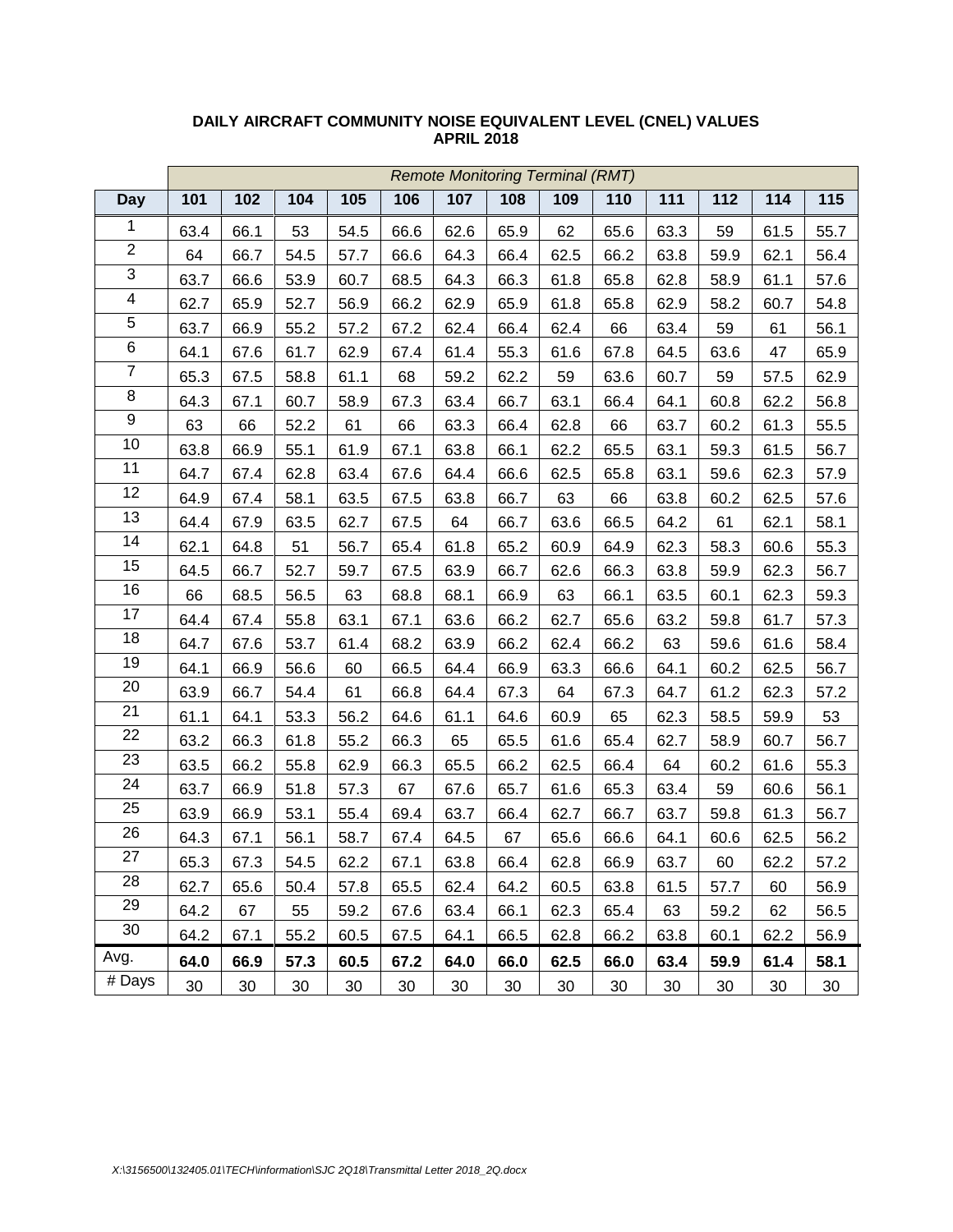|                         | <b>Remote Monitoring Terminal (RMT)</b> |      |      |      |      |      |      |      |      |      |      |      |      |
|-------------------------|-----------------------------------------|------|------|------|------|------|------|------|------|------|------|------|------|
| <b>Day</b>              | 101                                     | 102  | 104  | 105  | 106  | 107  | 108  | 109  | 110  | 111  | 112  | 114  | 115  |
| $\mathbf{1}$            | 63.4                                    | 66.1 | 53   | 54.5 | 66.6 | 62.6 | 65.9 | 62   | 65.6 | 63.3 | 59   | 61.5 | 55.7 |
| $\overline{2}$          | 64                                      | 66.7 | 54.5 | 57.7 | 66.6 | 64.3 | 66.4 | 62.5 | 66.2 | 63.8 | 59.9 | 62.1 | 56.4 |
| $\overline{3}$          | 63.7                                    | 66.6 | 53.9 | 60.7 | 68.5 | 64.3 | 66.3 | 61.8 | 65.8 | 62.8 | 58.9 | 61.1 | 57.6 |
| $\overline{\mathbf{4}}$ | 62.7                                    | 65.9 | 52.7 | 56.9 | 66.2 | 62.9 | 65.9 | 61.8 | 65.8 | 62.9 | 58.2 | 60.7 | 54.8 |
| 5                       | 63.7                                    | 66.9 | 55.2 | 57.2 | 67.2 | 62.4 | 66.4 | 62.4 | 66   | 63.4 | 59   | 61   | 56.1 |
| $\overline{6}$          | 64.1                                    | 67.6 | 61.7 | 62.9 | 67.4 | 61.4 | 55.3 | 61.6 | 67.8 | 64.5 | 63.6 | 47   | 65.9 |
| $\overline{7}$          | 65.3                                    | 67.5 | 58.8 | 61.1 | 68   | 59.2 | 62.2 | 59   | 63.6 | 60.7 | 59   | 57.5 | 62.9 |
| $\overline{8}$          | 64.3                                    | 67.1 | 60.7 | 58.9 | 67.3 | 63.4 | 66.7 | 63.1 | 66.4 | 64.1 | 60.8 | 62.2 | 56.8 |
| 9                       | 63                                      | 66   | 52.2 | 61   | 66   | 63.3 | 66.4 | 62.8 | 66   | 63.7 | 60.2 | 61.3 | 55.5 |
| $10$                    | 63.8                                    | 66.9 | 55.1 | 61.9 | 67.1 | 63.8 | 66.1 | 62.2 | 65.5 | 63.1 | 59.3 | 61.5 | 56.7 |
| 11                      | 64.7                                    | 67.4 | 62.8 | 63.4 | 67.6 | 64.4 | 66.6 | 62.5 | 65.8 | 63.1 | 59.6 | 62.3 | 57.9 |
| 12                      | 64.9                                    | 67.4 | 58.1 | 63.5 | 67.5 | 63.8 | 66.7 | 63   | 66   | 63.8 | 60.2 | 62.5 | 57.6 |
| 13                      | 64.4                                    | 67.9 | 63.5 | 62.7 | 67.5 | 64   | 66.7 | 63.6 | 66.5 | 64.2 | 61   | 62.1 | 58.1 |
| 14                      | 62.1                                    | 64.8 | 51   | 56.7 | 65.4 | 61.8 | 65.2 | 60.9 | 64.9 | 62.3 | 58.3 | 60.6 | 55.3 |
| 15                      | 64.5                                    | 66.7 | 52.7 | 59.7 | 67.5 | 63.9 | 66.7 | 62.6 | 66.3 | 63.8 | 59.9 | 62.3 | 56.7 |
| 16                      | 66                                      | 68.5 | 56.5 | 63   | 68.8 | 68.1 | 66.9 | 63   | 66.1 | 63.5 | 60.1 | 62.3 | 59.3 |
| 17                      | 64.4                                    | 67.4 | 55.8 | 63.1 | 67.1 | 63.6 | 66.2 | 62.7 | 65.6 | 63.2 | 59.8 | 61.7 | 57.3 |
| 18                      | 64.7                                    | 67.6 | 53.7 | 61.4 | 68.2 | 63.9 | 66.2 | 62.4 | 66.2 | 63   | 59.6 | 61.6 | 58.4 |
| 19                      | 64.1                                    | 66.9 | 56.6 | 60   | 66.5 | 64.4 | 66.9 | 63.3 | 66.6 | 64.1 | 60.2 | 62.5 | 56.7 |
| 20                      | 63.9                                    | 66.7 | 54.4 | 61   | 66.8 | 64.4 | 67.3 | 64   | 67.3 | 64.7 | 61.2 | 62.3 | 57.2 |
| 21                      | 61.1                                    | 64.1 | 53.3 | 56.2 | 64.6 | 61.1 | 64.6 | 60.9 | 65   | 62.3 | 58.5 | 59.9 | 53   |
| 22                      | 63.2                                    | 66.3 | 61.8 | 55.2 | 66.3 | 65   | 65.5 | 61.6 | 65.4 | 62.7 | 58.9 | 60.7 | 56.7 |
| 23                      | 63.5                                    | 66.2 | 55.8 | 62.9 | 66.3 | 65.5 | 66.2 | 62.5 | 66.4 | 64   | 60.2 | 61.6 | 55.3 |
| 24                      | 63.7                                    | 66.9 | 51.8 | 57.3 | 67   | 67.6 | 65.7 | 61.6 | 65.3 | 63.4 | 59   | 60.6 | 56.1 |
| 25                      | 63.9                                    | 66.9 | 53.1 | 55.4 | 69.4 | 63.7 | 66.4 | 62.7 | 66.7 | 63.7 | 59.8 | 61.3 | 56.7 |
| 26                      | 64.3                                    | 67.1 | 56.1 | 58.7 | 67.4 | 64.5 | 67   | 65.6 | 66.6 | 64.1 | 60.6 | 62.5 | 56.2 |
| 27                      | 65.3                                    | 67.3 | 54.5 | 62.2 | 67.1 | 63.8 | 66.4 | 62.8 | 66.9 | 63.7 | 60   | 62.2 | 57.2 |
| 28                      | 62.7                                    | 65.6 | 50.4 | 57.8 | 65.5 | 62.4 | 64.2 | 60.5 | 63.8 | 61.5 | 57.7 | 60   | 56.9 |
| 29                      | 64.2                                    | 67   | 55   | 59.2 | 67.6 | 63.4 | 66.1 | 62.3 | 65.4 | 63   | 59.2 | 62   | 56.5 |
| 30                      | 64.2                                    | 67.1 | 55.2 | 60.5 | 67.5 | 64.1 | 66.5 | 62.8 | 66.2 | 63.8 | 60.1 | 62.2 | 56.9 |
| Avg.                    | 64.0                                    | 66.9 | 57.3 | 60.5 | 67.2 | 64.0 | 66.0 | 62.5 | 66.0 | 63.4 | 59.9 | 61.4 | 58.1 |
| # Days                  | 30                                      | 30   | 30   | 30   | 30   | 30   | 30   | 30   | 30   | 30   | 30   | 30   | 30   |

### **DAILY AIRCRAFT COMMUNITY NOISE EQUIVALENT LEVEL (CNEL) VALUES APRIL 2018**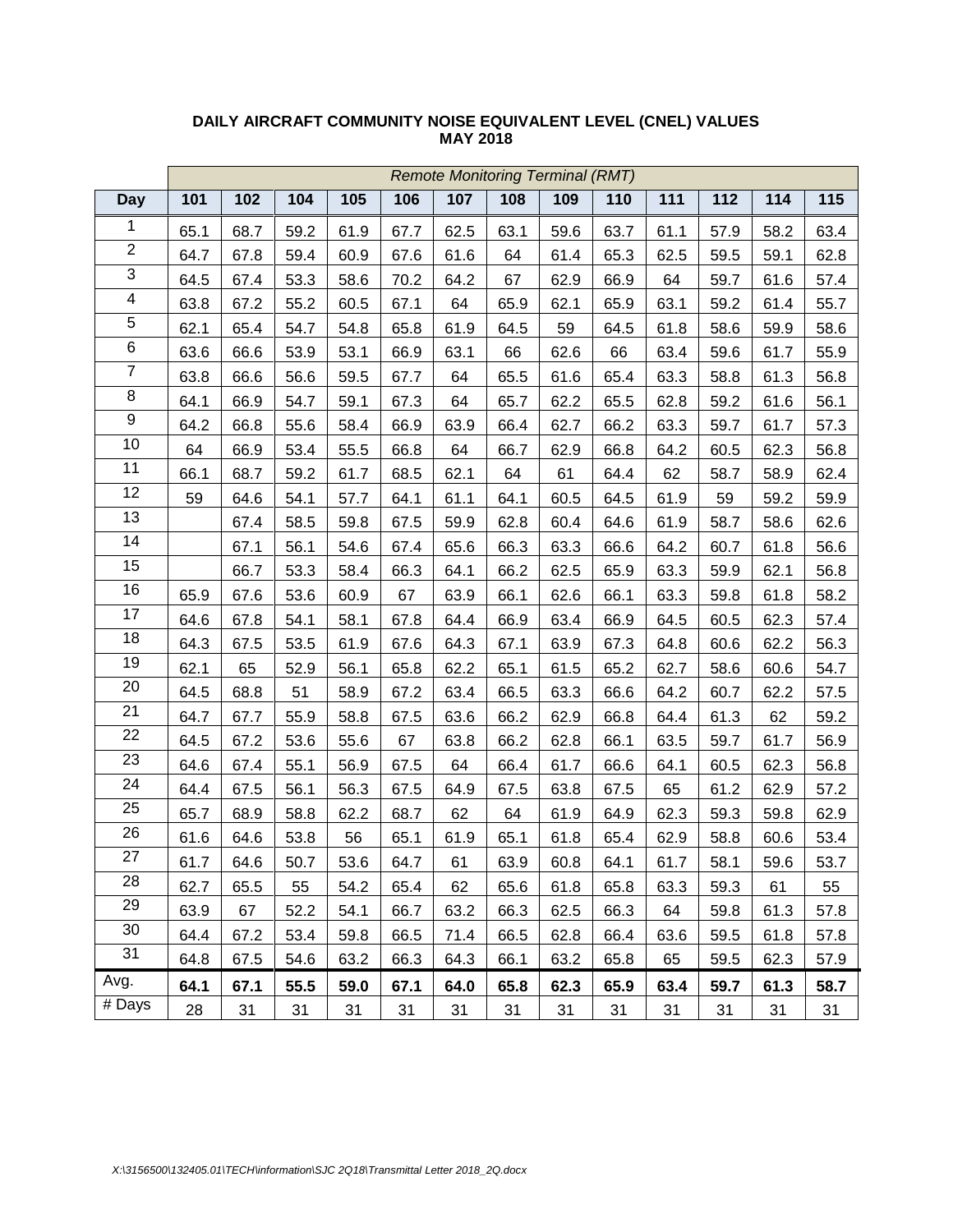|                         | <b>Remote Monitoring Terminal (RMT)</b> |      |      |      |      |      |      |      |      |      |      |      |      |
|-------------------------|-----------------------------------------|------|------|------|------|------|------|------|------|------|------|------|------|
| <b>Day</b>              | 101                                     | 102  | 104  | 105  | 106  | 107  | 108  | 109  | 110  | 111  | 112  | 114  | 115  |
| $\mathbf{1}$            | 65.1                                    | 68.7 | 59.2 | 61.9 | 67.7 | 62.5 | 63.1 | 59.6 | 63.7 | 61.1 | 57.9 | 58.2 | 63.4 |
| $\overline{2}$          | 64.7                                    | 67.8 | 59.4 | 60.9 | 67.6 | 61.6 | 64   | 61.4 | 65.3 | 62.5 | 59.5 | 59.1 | 62.8 |
| $\overline{3}$          | 64.5                                    | 67.4 | 53.3 | 58.6 | 70.2 | 64.2 | 67   | 62.9 | 66.9 | 64   | 59.7 | 61.6 | 57.4 |
| $\overline{\mathbf{4}}$ | 63.8                                    | 67.2 | 55.2 | 60.5 | 67.1 | 64   | 65.9 | 62.1 | 65.9 | 63.1 | 59.2 | 61.4 | 55.7 |
| 5                       | 62.1                                    | 65.4 | 54.7 | 54.8 | 65.8 | 61.9 | 64.5 | 59   | 64.5 | 61.8 | 58.6 | 59.9 | 58.6 |
| 6                       | 63.6                                    | 66.6 | 53.9 | 53.1 | 66.9 | 63.1 | 66   | 62.6 | 66   | 63.4 | 59.6 | 61.7 | 55.9 |
| $\overline{7}$          | 63.8                                    | 66.6 | 56.6 | 59.5 | 67.7 | 64   | 65.5 | 61.6 | 65.4 | 63.3 | 58.8 | 61.3 | 56.8 |
| $\overline{8}$          | 64.1                                    | 66.9 | 54.7 | 59.1 | 67.3 | 64   | 65.7 | 62.2 | 65.5 | 62.8 | 59.2 | 61.6 | 56.1 |
| 9                       | 64.2                                    | 66.8 | 55.6 | 58.4 | 66.9 | 63.9 | 66.4 | 62.7 | 66.2 | 63.3 | 59.7 | 61.7 | 57.3 |
| $10$                    | 64                                      | 66.9 | 53.4 | 55.5 | 66.8 | 64   | 66.7 | 62.9 | 66.8 | 64.2 | 60.5 | 62.3 | 56.8 |
| 11                      | 66.1                                    | 68.7 | 59.2 | 61.7 | 68.5 | 62.1 | 64   | 61   | 64.4 | 62   | 58.7 | 58.9 | 62.4 |
| 12                      | 59                                      | 64.6 | 54.1 | 57.7 | 64.1 | 61.1 | 64.1 | 60.5 | 64.5 | 61.9 | 59   | 59.2 | 59.9 |
| 13                      |                                         | 67.4 | 58.5 | 59.8 | 67.5 | 59.9 | 62.8 | 60.4 | 64.6 | 61.9 | 58.7 | 58.6 | 62.6 |
| 14                      |                                         | 67.1 | 56.1 | 54.6 | 67.4 | 65.6 | 66.3 | 63.3 | 66.6 | 64.2 | 60.7 | 61.8 | 56.6 |
| 15                      |                                         | 66.7 | 53.3 | 58.4 | 66.3 | 64.1 | 66.2 | 62.5 | 65.9 | 63.3 | 59.9 | 62.1 | 56.8 |
| 16                      | 65.9                                    | 67.6 | 53.6 | 60.9 | 67   | 63.9 | 66.1 | 62.6 | 66.1 | 63.3 | 59.8 | 61.8 | 58.2 |
| 17                      | 64.6                                    | 67.8 | 54.1 | 58.1 | 67.8 | 64.4 | 66.9 | 63.4 | 66.9 | 64.5 | 60.5 | 62.3 | 57.4 |
| 18                      | 64.3                                    | 67.5 | 53.5 | 61.9 | 67.6 | 64.3 | 67.1 | 63.9 | 67.3 | 64.8 | 60.6 | 62.2 | 56.3 |
| 19                      | 62.1                                    | 65   | 52.9 | 56.1 | 65.8 | 62.2 | 65.1 | 61.5 | 65.2 | 62.7 | 58.6 | 60.6 | 54.7 |
| 20                      | 64.5                                    | 68.8 | 51   | 58.9 | 67.2 | 63.4 | 66.5 | 63.3 | 66.6 | 64.2 | 60.7 | 62.2 | 57.5 |
| 21                      | 64.7                                    | 67.7 | 55.9 | 58.8 | 67.5 | 63.6 | 66.2 | 62.9 | 66.8 | 64.4 | 61.3 | 62   | 59.2 |
| 22                      | 64.5                                    | 67.2 | 53.6 | 55.6 | 67   | 63.8 | 66.2 | 62.8 | 66.1 | 63.5 | 59.7 | 61.7 | 56.9 |
| 23                      | 64.6                                    | 67.4 | 55.1 | 56.9 | 67.5 | 64   | 66.4 | 61.7 | 66.6 | 64.1 | 60.5 | 62.3 | 56.8 |
| 24                      | 64.4                                    | 67.5 | 56.1 | 56.3 | 67.5 | 64.9 | 67.5 | 63.8 | 67.5 | 65   | 61.2 | 62.9 | 57.2 |
| 25                      | 65.7                                    | 68.9 | 58.8 | 62.2 | 68.7 | 62   | 64   | 61.9 | 64.9 | 62.3 | 59.3 | 59.8 | 62.9 |
| 26                      | 61.6                                    | 64.6 | 53.8 | 56   | 65.1 | 61.9 | 65.1 | 61.8 | 65.4 | 62.9 | 58.8 | 60.6 | 53.4 |
| 27                      | 61.7                                    | 64.6 | 50.7 | 53.6 | 64.7 | 61   | 63.9 | 60.8 | 64.1 | 61.7 | 58.1 | 59.6 | 53.7 |
| 28                      | 62.7                                    | 65.5 | 55   | 54.2 | 65.4 | 62   | 65.6 | 61.8 | 65.8 | 63.3 | 59.3 | 61   | 55   |
| 29                      | 63.9                                    | 67   | 52.2 | 54.1 | 66.7 | 63.2 | 66.3 | 62.5 | 66.3 | 64   | 59.8 | 61.3 | 57.8 |
| 30                      | 64.4                                    | 67.2 | 53.4 | 59.8 | 66.5 | 71.4 | 66.5 | 62.8 | 66.4 | 63.6 | 59.5 | 61.8 | 57.8 |
| 31                      | 64.8                                    | 67.5 | 54.6 | 63.2 | 66.3 | 64.3 | 66.1 | 63.2 | 65.8 | 65   | 59.5 | 62.3 | 57.9 |
| Avg.                    | 64.1                                    | 67.1 | 55.5 | 59.0 | 67.1 | 64.0 | 65.8 | 62.3 | 65.9 | 63.4 | 59.7 | 61.3 | 58.7 |
| # Days                  | 28                                      | 31   | 31   | 31   | 31   | 31   | 31   | 31   | 31   | 31   | 31   | 31   | 31   |

### **DAILY AIRCRAFT COMMUNITY NOISE EQUIVALENT LEVEL (CNEL) VALUES MAY 2018**